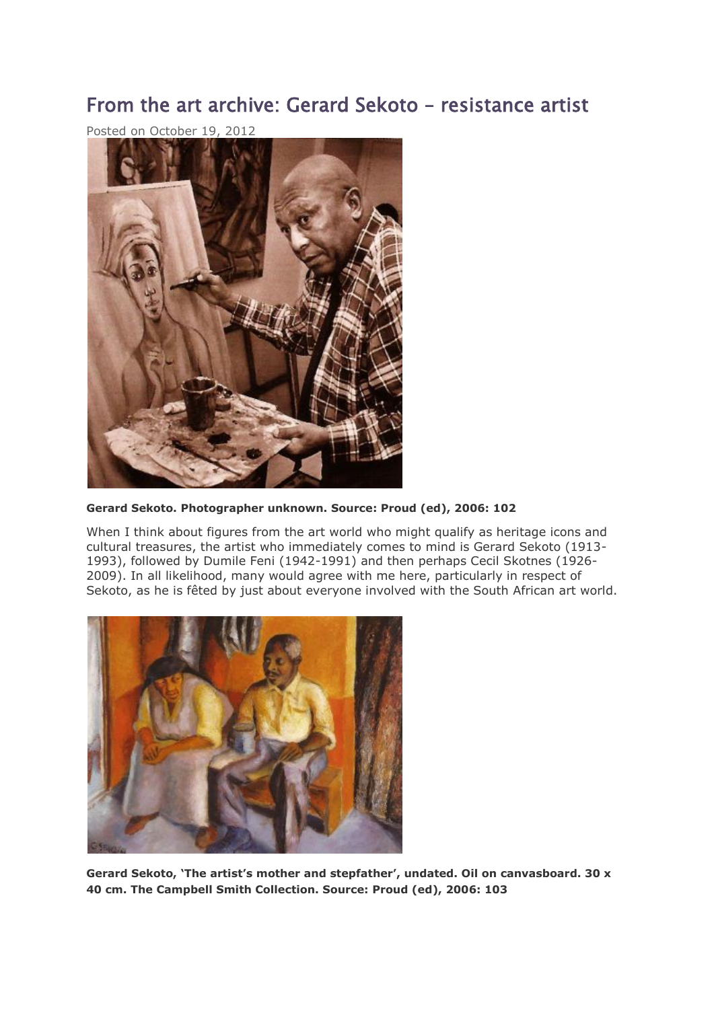# From the art archive: Gerard Sekoto – resistance artist

Posted on October 19, 2012



**Gerard Sekoto. Photographer unknown. Source: Proud (ed), 2006: 102**

When I think about figures from the art world who might qualify as heritage icons and cultural treasures, the artist who immediately comes to mind is Gerard Sekoto (1913- 1993), followed by Dumile Feni (1942-1991) and then perhaps Cecil Skotnes (1926- 2009). In all likelihood, many would agree with me here, particularly in respect of Sekoto, as he is fêted by just about everyone involved with the South African art world.



**Gerard Sekoto, 'The artist's mother and stepfather', undated. Oil on canvasboard. 30 x 40 cm. The Campbell Smith Collection. Source: Proud (ed), 2006: 103**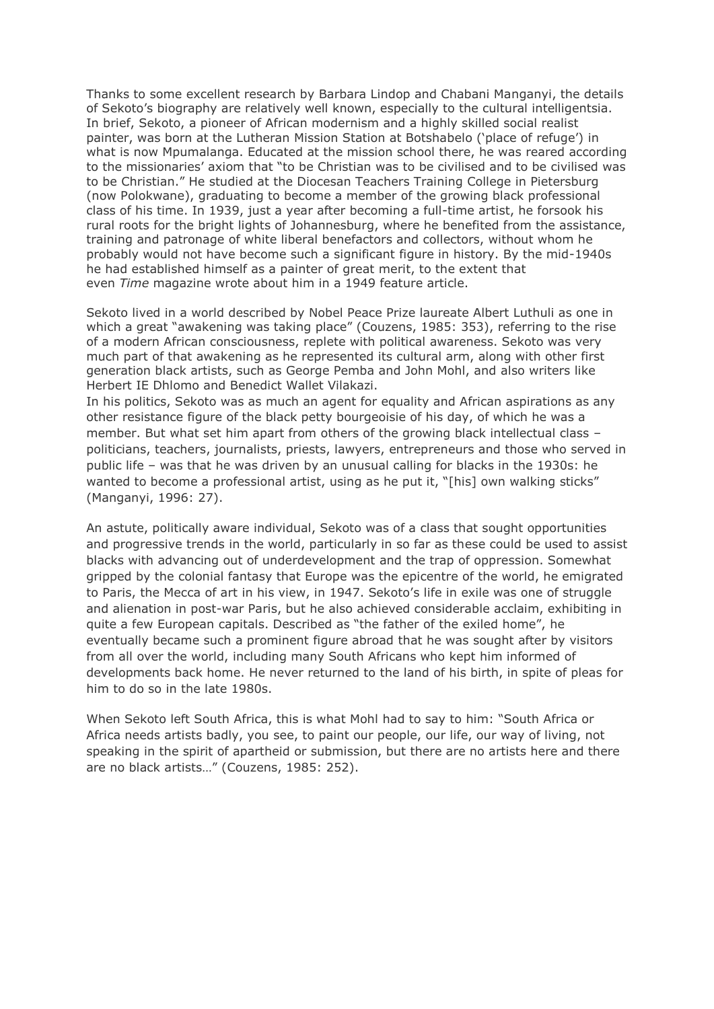Thanks to some excellent research by Barbara Lindop and Chabani Manganyi, the details of Sekoto's biography are relatively well known, especially to the cultural intelligentsia. In brief, Sekoto, a pioneer of African modernism and a highly skilled social realist painter, was born at the Lutheran Mission Station at Botshabelo ('place of refuge') in what is now Mpumalanga. Educated at the mission school there, he was reared according to the missionaries' axiom that "to be Christian was to be civilised and to be civilised was to be Christian." He studied at the Diocesan Teachers Training College in Pietersburg (now Polokwane), graduating to become a member of the growing black professional class of his time. In 1939, just a year after becoming a full-time artist, he forsook his rural roots for the bright lights of Johannesburg, where he benefited from the assistance, training and patronage of white liberal benefactors and collectors, without whom he probably would not have become such a significant figure in history. By the mid-1940s he had established himself as a painter of great merit, to the extent that even *Time* magazine wrote about him in a 1949 feature article.

Sekoto lived in a world described by Nobel Peace Prize laureate Albert Luthuli as one in which a great "awakening was taking place" (Couzens, 1985: 353), referring to the rise of a modern African consciousness, replete with political awareness. Sekoto was very much part of that awakening as he represented its cultural arm, along with other first generation black artists, such as George Pemba and John Mohl, and also writers like Herbert IE Dhlomo and Benedict Wallet Vilakazi.

In his politics, Sekoto was as much an agent for equality and African aspirations as any other resistance figure of the black petty bourgeoisie of his day, of which he was a member. But what set him apart from others of the growing black intellectual class – politicians, teachers, journalists, priests, lawyers, entrepreneurs and those who served in public life – was that he was driven by an unusual calling for blacks in the 1930s: he wanted to become a professional artist, using as he put it, "[his] own walking sticks" (Manganyi, 1996: 27).

An astute, politically aware individual, Sekoto was of a class that sought opportunities and progressive trends in the world, particularly in so far as these could be used to assist blacks with advancing out of underdevelopment and the trap of oppression. Somewhat gripped by the colonial fantasy that Europe was the epicentre of the world, he emigrated to Paris, the Mecca of art in his view, in 1947. Sekoto's life in exile was one of struggle and alienation in post-war Paris, but he also achieved considerable acclaim, exhibiting in quite a few European capitals. Described as "the father of the exiled home", he eventually became such a prominent figure abroad that he was sought after by visitors from all over the world, including many South Africans who kept him informed of developments back home. He never returned to the land of his birth, in spite of pleas for him to do so in the late 1980s.

When Sekoto left South Africa, this is what Mohl had to say to him: "South Africa or Africa needs artists badly, you see, to paint our people, our life, our way of living, not speaking in the spirit of apartheid or submission, but there are no artists here and there are no black artists…" (Couzens, 1985: 252).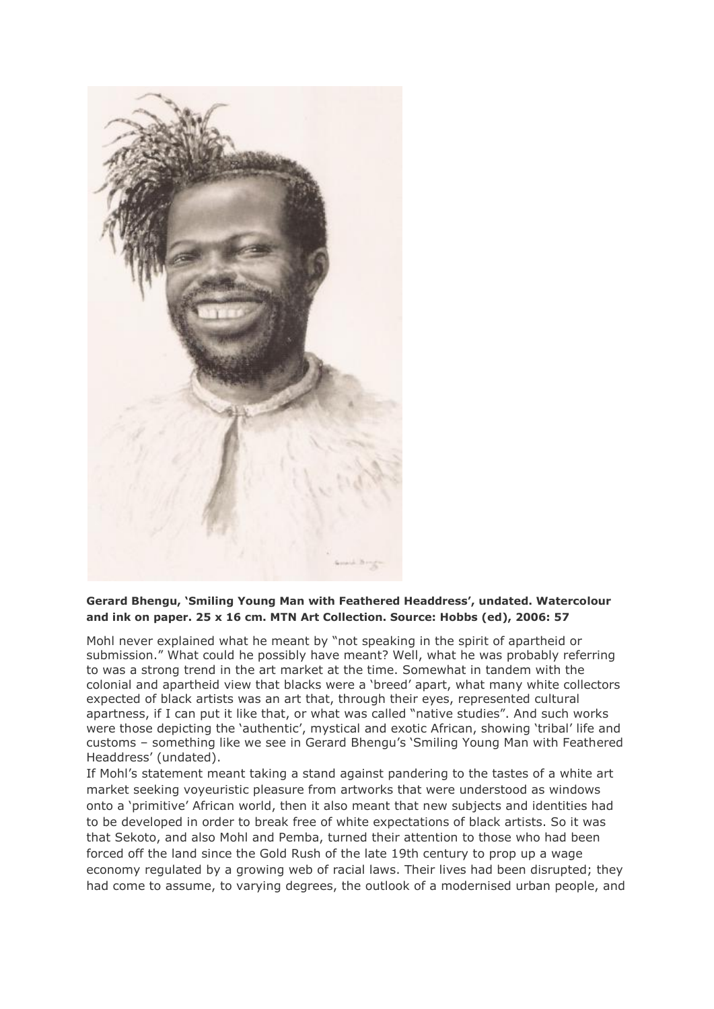

## **Gerard Bhengu, 'Smiling Young Man with Feathered Headdress', undated. Watercolour and ink on paper. 25 x 16 cm. MTN Art Collection. Source: Hobbs (ed), 2006: 57**

Mohl never explained what he meant by "not speaking in the spirit of apartheid or submission." What could he possibly have meant? Well, what he was probably referring to was a strong trend in the art market at the time. Somewhat in tandem with the colonial and apartheid view that blacks were a 'breed' apart, what many white collectors expected of black artists was an art that, through their eyes, represented cultural apartness, if I can put it like that, or what was called "native studies". And such works were those depicting the 'authentic', mystical and exotic African, showing 'tribal' life and customs – something like we see in Gerard Bhengu's 'Smiling Young Man with Feathered Headdress' (undated).

If Mohl's statement meant taking a stand against pandering to the tastes of a white art market seeking voyeuristic pleasure from artworks that were understood as windows onto a 'primitive' African world, then it also meant that new subjects and identities had to be developed in order to break free of white expectations of black artists. So it was that Sekoto, and also Mohl and Pemba, turned their attention to those who had been forced off the land since the Gold Rush of the late 19th century to prop up a wage economy regulated by a growing web of racial laws. Their lives had been disrupted; they had come to assume, to varying degrees, the outlook of a modernised urban people, and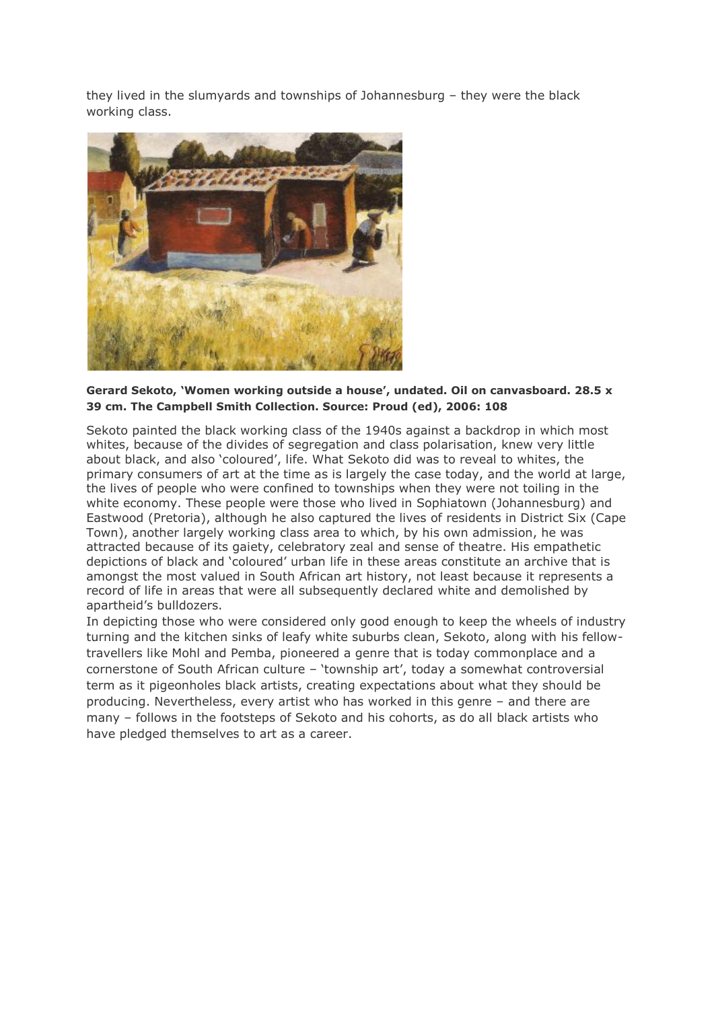they lived in the slumyards and townships of Johannesburg – they were the black working class.



### **Gerard Sekoto, 'Women working outside a house', undated. Oil on canvasboard. 28.5 x 39 cm. The Campbell Smith Collection. Source: Proud (ed), 2006: 108**

Sekoto painted the black working class of the 1940s against a backdrop in which most whites, because of the divides of segregation and class polarisation, knew very little about black, and also 'coloured', life. What Sekoto did was to reveal to whites, the primary consumers of art at the time as is largely the case today, and the world at large, the lives of people who were confined to townships when they were not toiling in the white economy. These people were those who lived in Sophiatown (Johannesburg) and Eastwood (Pretoria), although he also captured the lives of residents in District Six (Cape Town), another largely working class area to which, by his own admission, he was attracted because of its gaiety, celebratory zeal and sense of theatre. His empathetic depictions of black and 'coloured' urban life in these areas constitute an archive that is amongst the most valued in South African art history, not least because it represents a record of life in areas that were all subsequently declared white and demolished by apartheid's bulldozers.

In depicting those who were considered only good enough to keep the wheels of industry turning and the kitchen sinks of leafy white suburbs clean, Sekoto, along with his fellowtravellers like Mohl and Pemba, pioneered a genre that is today commonplace and a cornerstone of South African culture – 'township art', today a somewhat controversial term as it pigeonholes black artists, creating expectations about what they should be producing. Nevertheless, every artist who has worked in this genre – and there are many – follows in the footsteps of Sekoto and his cohorts, as do all black artists who have pledged themselves to art as a career.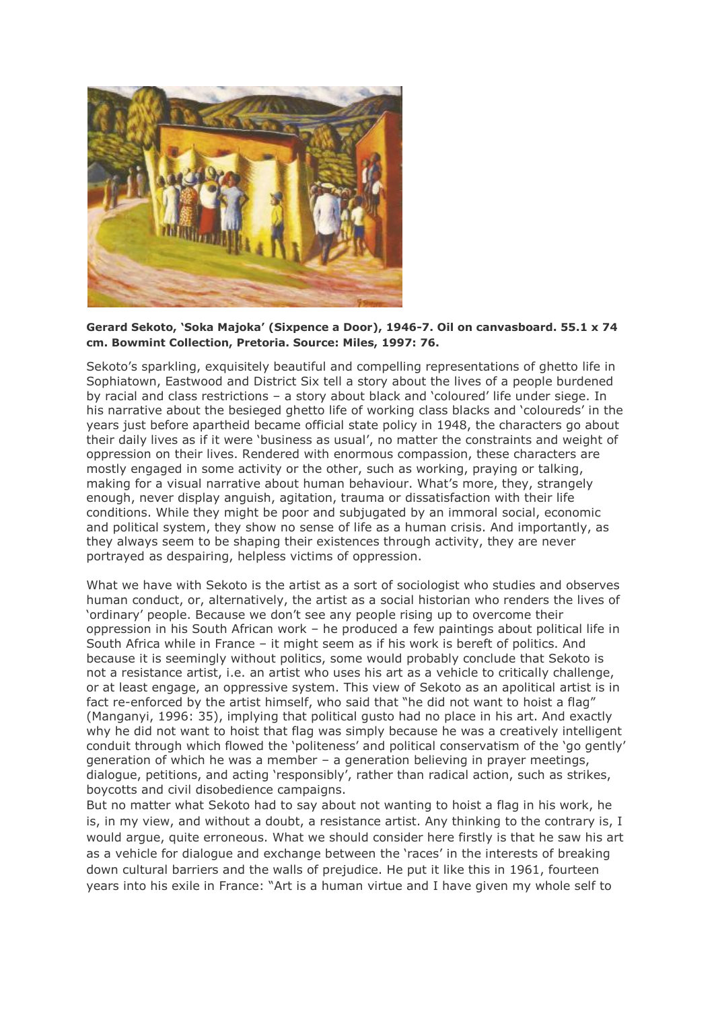

#### **Gerard Sekoto, 'Soka Majoka' (Sixpence a Door), 1946-7. Oil on canvasboard. 55.1 x 74 cm. Bowmint Collection, Pretoria. Source: Miles, 1997: 76.**

Sekoto's sparkling, exquisitely beautiful and compelling representations of ghetto life in Sophiatown, Eastwood and District Six tell a story about the lives of a people burdened by racial and class restrictions – a story about black and 'coloured' life under siege. In his narrative about the besieged ghetto life of working class blacks and 'coloureds' in the years just before apartheid became official state policy in 1948, the characters go about their daily lives as if it were 'business as usual', no matter the constraints and weight of oppression on their lives. Rendered with enormous compassion, these characters are mostly engaged in some activity or the other, such as working, praying or talking, making for a visual narrative about human behaviour. What's more, they, strangely enough, never display anguish, agitation, trauma or dissatisfaction with their life conditions. While they might be poor and subjugated by an immoral social, economic and political system, they show no sense of life as a human crisis. And importantly, as they always seem to be shaping their existences through activity, they are never portrayed as despairing, helpless victims of oppression.

What we have with Sekoto is the artist as a sort of sociologist who studies and observes human conduct, or, alternatively, the artist as a social historian who renders the lives of 'ordinary' people. Because we don't see any people rising up to overcome their oppression in his South African work – he produced a few paintings about political life in South Africa while in France – it might seem as if his work is bereft of politics. And because it is seemingly without politics, some would probably conclude that Sekoto is not a resistance artist, i.e. an artist who uses his art as a vehicle to critically challenge, or at least engage, an oppressive system. This view of Sekoto as an apolitical artist is in fact re-enforced by the artist himself, who said that "he did not want to hoist a flag" (Manganyi, 1996: 35), implying that political gusto had no place in his art. And exactly why he did not want to hoist that flag was simply because he was a creatively intelligent conduit through which flowed the 'politeness' and political conservatism of the 'go gently' generation of which he was a member – a generation believing in prayer meetings, dialogue, petitions, and acting 'responsibly', rather than radical action, such as strikes, boycotts and civil disobedience campaigns.

But no matter what Sekoto had to say about not wanting to hoist a flag in his work, he is, in my view, and without a doubt, a resistance artist. Any thinking to the contrary is, I would argue, quite erroneous. What we should consider here firstly is that he saw his art as a vehicle for dialogue and exchange between the 'races' in the interests of breaking down cultural barriers and the walls of prejudice. He put it like this in 1961, fourteen years into his exile in France: "Art is a human virtue and I have given my whole self to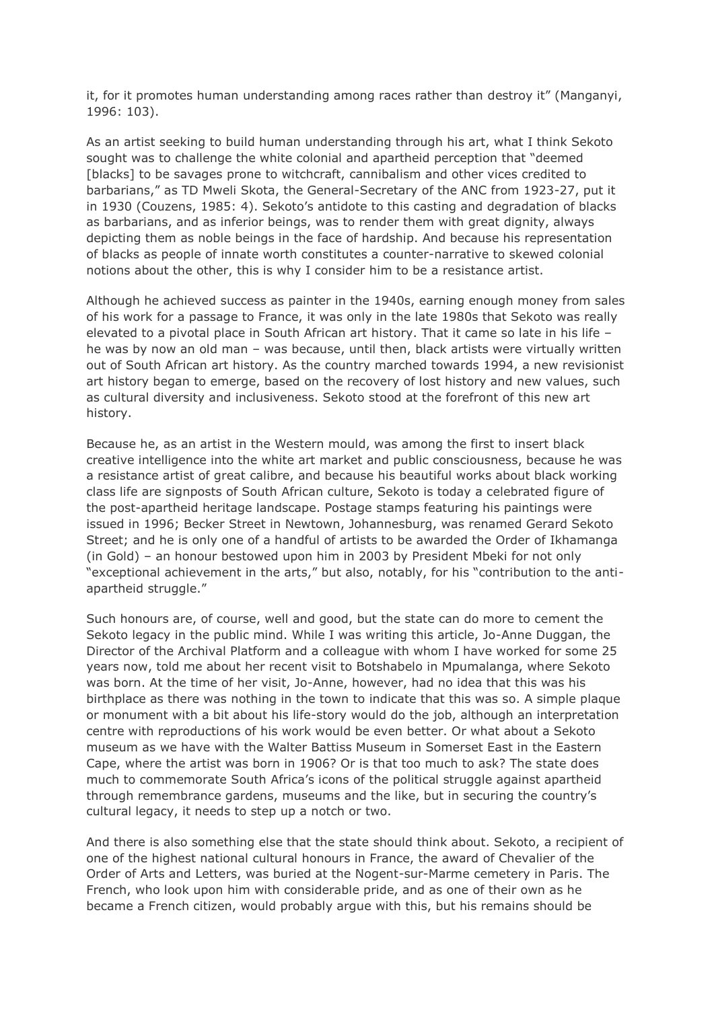it, for it promotes human understanding among races rather than destroy it" (Manganyi, 1996: 103).

As an artist seeking to build human understanding through his art, what I think Sekoto sought was to challenge the white colonial and apartheid perception that "deemed [blacks] to be savages prone to witchcraft, cannibalism and other vices credited to barbarians," as TD Mweli Skota, the General-Secretary of the ANC from 1923-27, put it in 1930 (Couzens, 1985: 4). Sekoto's antidote to this casting and degradation of blacks as barbarians, and as inferior beings, was to render them with great dignity, always depicting them as noble beings in the face of hardship. And because his representation of blacks as people of innate worth constitutes a counter-narrative to skewed colonial notions about the other, this is why I consider him to be a resistance artist.

Although he achieved success as painter in the 1940s, earning enough money from sales of his work for a passage to France, it was only in the late 1980s that Sekoto was really elevated to a pivotal place in South African art history. That it came so late in his life – he was by now an old man – was because, until then, black artists were virtually written out of South African art history. As the country marched towards 1994, a new revisionist art history began to emerge, based on the recovery of lost history and new values, such as cultural diversity and inclusiveness. Sekoto stood at the forefront of this new art history.

Because he, as an artist in the Western mould, was among the first to insert black creative intelligence into the white art market and public consciousness, because he was a resistance artist of great calibre, and because his beautiful works about black working class life are signposts of South African culture, Sekoto is today a celebrated figure of the post-apartheid heritage landscape. Postage stamps featuring his paintings were issued in 1996; Becker Street in Newtown, Johannesburg, was renamed Gerard Sekoto Street; and he is only one of a handful of artists to be awarded the Order of Ikhamanga (in Gold) – an honour bestowed upon him in 2003 by President Mbeki for not only "exceptional achievement in the arts," but also, notably, for his "contribution to the antiapartheid struggle."

Such honours are, of course, well and good, but the state can do more to cement the Sekoto legacy in the public mind. While I was writing this article, Jo-Anne Duggan, the Director of the Archival Platform and a colleague with whom I have worked for some 25 years now, told me about her recent visit to Botshabelo in Mpumalanga, where Sekoto was born. At the time of her visit, Jo-Anne, however, had no idea that this was his birthplace as there was nothing in the town to indicate that this was so. A simple plaque or monument with a bit about his life-story would do the job, although an interpretation centre with reproductions of his work would be even better. Or what about a Sekoto museum as we have with the Walter Battiss Museum in Somerset East in the Eastern Cape, where the artist was born in 1906? Or is that too much to ask? The state does much to commemorate South Africa's icons of the political struggle against apartheid through remembrance gardens, museums and the like, but in securing the country's cultural legacy, it needs to step up a notch or two.

And there is also something else that the state should think about. Sekoto, a recipient of one of the highest national cultural honours in France, the award of Chevalier of the Order of Arts and Letters, was buried at the Nogent-sur-Marme cemetery in Paris. The French, who look upon him with considerable pride, and as one of their own as he became a French citizen, would probably argue with this, but his remains should be